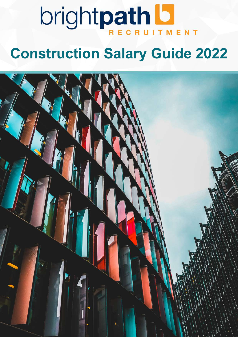# **brightpath LI**

# **Construction Salary Guide 2022**

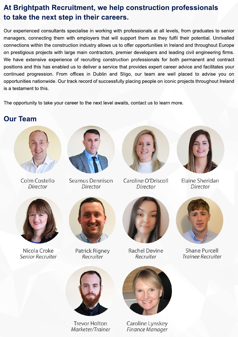## At Brightpath Recruitment, we help construction professionals to take the next step in their careers.

Our experienced consultants specialise in working with professionals at all levels, from graduates to senior managers, connecting them with employers that will support them as they fulfil their potential. Unrivalled connections within the construction industry allows us to offer opportunities in Ireland and throughout Europe on prestigious projects with large main contractors, premier developers and leading civil engineering firms. We have extensive experience of recruiting construction professionals for both permanent and contract positions and this has enabled us to deliver a service that provides expert career advice and facilitates your continued progression. From offices in Dublin and Sligo, our team are well placed to advise you on opportunities nationwide. Our track record of successfully placing people on iconic projects throughout Ireland is a testament to this.

The opportunity to take your career to the next level awaits, contact us to learn more.

## **Our Team**



Colm Costello Director



Seamus Dennison Director



Caroline O'Driscoll Director



**Elaine Sheridan** Director



Nicola Croke Senior Recruiter



Patrick Rigney Recruiter



**Rachel Devine** Recruiter



Shane Purcell **Trainee Recruiter** 



**Trevor Holton** Marketer/Trainer



Caroline Lynskey Finance Manager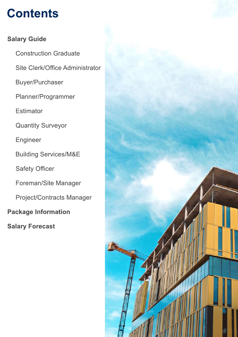# **Contents**

### **Salary Guide**

**Package Information Salary Forecast Construction Graduate** Site Clerk/Office Administrator Buyer/Purchaser Planner/Programmer **Estimator Quantity Surveyor** Engineer Building Services/M&E Safety Officer Foreman/Site Manager Project/Contracts Manager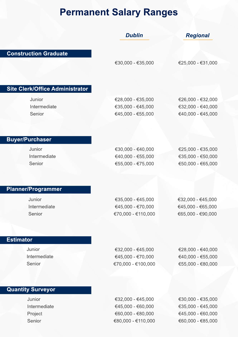# **Permanent Salary Ranges**

|                                        | <b>Dublin</b>                           | <b>Regional</b>                        |
|----------------------------------------|-----------------------------------------|----------------------------------------|
|                                        |                                         |                                        |
| <b>Construction Graduate</b>           |                                         |                                        |
|                                        | €30,000 - €35,000                       | €25,000 - €31,000                      |
|                                        |                                         |                                        |
|                                        |                                         |                                        |
| <b>Site Clerk/Office Administrator</b> |                                         |                                        |
| Junior                                 | €28,000 - €35,000                       | €26,000 - €32,000                      |
| Intermediate                           | €35,000 - €45,000                       | €32,000 - €40,000                      |
| Senior                                 | €45,000 - €55,000                       | €40,000 - €45,000                      |
|                                        |                                         |                                        |
|                                        |                                         |                                        |
| <b>Buyer/Purchaser</b>                 |                                         |                                        |
| Junior                                 | €30,000 - €40,000                       | €25,000 - €35,000                      |
| Intermediate                           | €40,000 - €55,000                       | €35,000 - €50,000                      |
| Senior                                 | €55,000 - €75,000                       | €50,000 - €65,000                      |
|                                        |                                         |                                        |
|                                        |                                         |                                        |
| <b>Planner/Programmer</b>              |                                         |                                        |
| Junior                                 | €35,000 - €45,000                       | €32,000 - €45,000                      |
| Intermediate<br>Senior                 | €45,000 - €70,000<br>€70,000 - €110,000 | €45,000 - €65,000<br>€65,000 - €90,000 |
|                                        |                                         |                                        |
|                                        |                                         |                                        |
| <b>Estimator</b>                       |                                         |                                        |
| Junior                                 | €32,000 - €45,000                       | €28,000 - €40,000                      |
| Intermediate                           | €45,000 - €70,000                       | €40,000 - €55,000                      |
| Senior                                 | €70,000 - €100,000                      | €55,000 - €80,000                      |
|                                        |                                         |                                        |
|                                        |                                         |                                        |
| <b>Quantity Surveyor</b>               |                                         |                                        |
| Junior                                 | €32,000 - €45,000                       | €30,000 - €35,000                      |
| Intermediate                           | €45,000 - €60,000                       | €35,000 - €45,000                      |
| Project                                | €60,000 - €80,000                       | €45,000 - €60,000                      |
| Senior                                 | €80,000 - €110,000                      | €60,000 - €85,000                      |
|                                        |                                         |                                        |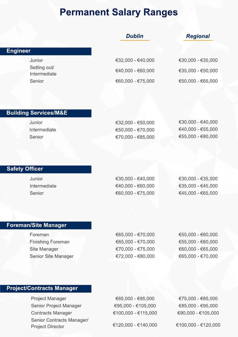## **Permanent Salary Ranges**

| <b>Dublin</b>     | <b>Regional</b>   |
|-------------------|-------------------|
|                   |                   |
| €32,000 - €40,000 | €30,000 - €35,000 |
| €40,000 - €60,000 | €35,000 - €50,000 |
| €60,000 - €75,000 | €50,000 - €65,000 |
|                   |                   |

#### **Building Services/M&E**

Junior Intermediate Senior

€32,000-€50,000 €50,000-€70,000 €70,000-€85,000 €30,000-€40,000 €40,000-€55,000 €55,000-€80,000

#### **Safety Officer**

Junior Intermediate Senior

€30,000-€40,000 €40,000-€60,000 €60,000-€75,000 €30,000-€35,000 €35,000-€45,000 €45,000-€65,000

#### **Foreman/Site Manager**

Foreman **Finishing Foreman Site Manager** Senior Site Manager €65,000-€70,000 €65,000-€70,000 €70,000-€75,000 €72,000-€80,000

€55,000-€60,000 €55,000-€60,000 €60,000-€65,000 €65,000-€70,000

#### **Project/Contracts Manager**

Project Manager Senior Project Manager **Contracts Manager** Senior Contracts Manager/ **Project Director** 

€85,000-€95,000 €95,000-€105,000 €100,000-€115,000

€120,000-€140,000

€75,000-€85,000 €85,000-€95,000 €90,000-€105,000

€100,000-€120,000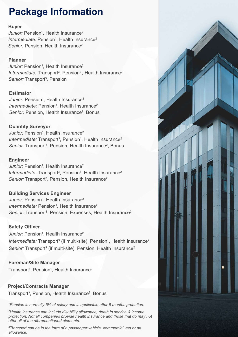# **Package Information**

#### **Buyer**

*Junior:* Pension<sup>1</sup>, Health Insurance<sup>2</sup> *Intermediate:* Pension<sup>1</sup>, Health Insurance<sup>2</sup> *Senior:* Pension, Health Insurance<sup>2</sup>

#### **Planner**

*Junior:* Pension<sup>1</sup>, Health Insurance<sup>2</sup> *Intermediate:* Transport<sup>3</sup>, Pension<sup>2</sup>, Health Insurance<sup>2</sup> *Senior:* Transport<sup>3</sup>, Pension

#### **Estimator**

*Junior:* Pension<sup>1</sup>, Health Insurance<sup>2</sup> *Intermediate:* Pension<sup>1</sup>, Health Insurance<sup>2</sup> *Senior:* Pension, Health Insurance<sup>2</sup>, Bonus

#### **Quantity Surveyor**

*Junior:* Pension<sup>1</sup>, Health Insurance<sup>2</sup> *Intermediate:* Transport<sup>3</sup>, Pension<sup>1</sup>, Health Insurance<sup>2</sup> Senior: Transport<sup>3</sup>, Pension, Health Insurance<sup>2</sup>, Bonus

#### **Engineer**

*Junior:* Pension<sup>1</sup>, Health Insurance<sup>2</sup> *Intermediate:* Transport<sup>3</sup>, Pension<sup>1</sup>, Health Insurance<sup>2</sup> Senior: Transport<sup>3</sup>, Pension, Health Insurance<sup>2</sup>

#### **Building Services Engineer**

*Junior:* Pension<sup>1</sup>, Health Insurance<sup>2</sup> *Intermediate:* Pension<sup>1</sup>, Health Insurance<sup>2</sup> *Senior:* Transport<sup>3</sup>, Pension, Expenses, Health Insurance<sup>2</sup>

#### **Safety Officer**

*Junior:* Pension<sup>1</sup>, Health Insurance<sup>2</sup> *Intermediate:* Transport<sup>3</sup> (if multi-site), Pension<sup>1</sup>, Health Insurance<sup>2</sup> Senior: Transport<sup>3</sup> (if multi-site), Pension, Health Insurance<sup>2</sup>

#### **Foreman/Site Manager**

Transport<sup>3</sup>, Pension<sup>1</sup>, Health Insurance<sup>2</sup>

#### **Project/Contracts Manager**

Transport<sup>3</sup>, Pension, Health Insurance<sup>2</sup>, Bonus

<sup>1</sup> Pension is normally 5% of salary and is applicable after 6-months probation.

<sup>2</sup>Health insurance can include disability allowance, death in service & income *protection.Notallcompaniesprovidehealthinsuranceandthosethatdomaynot* offer all of the aforementioned elements.

<sup>3</sup>Transport can be in the form of a passenger vehicle, commercial van or an *allowance.*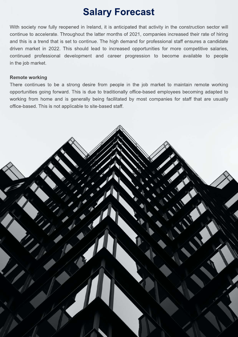# **Salary Forecast**

With society now fully reopened in Ireland, it is anticipated that activity in the construction sector will continue to accelerate. Throughout the latter months of 2021, companies increased their rate of hiring and this is a trend that is set to continue. The high demand for professional staff ensures a candidate driven market in 2022. This should lead to increased opportunities for more competitive salaries, continued professional development and career progression to become available to people in the job market.

#### **Remote working**

There continues to be a strong desire from people in the job market to maintain remote working opportunities going forward. This is due to traditionally office-based employees becoming adapted to working from home and is generally being facilitated by most companies for staff that are usually office-based. This is not applicable to site-based staff.

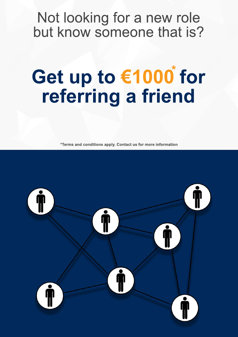# Not looking for a new role but know someone that is?

# **Getupto€1000for** referring a friend **\***

**\*Termsandconditionsapply.Contactusformoreinformation**